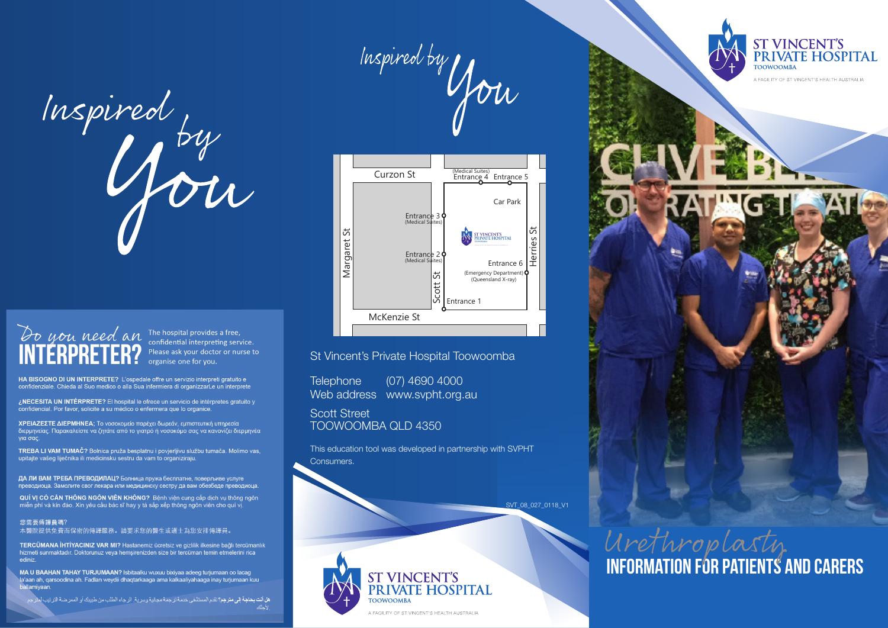

# Do you need an The hospital provides a free,

confidential interpreting service. Please ask your doctor or nurse to organise one for you.

HA BISOGNO DI UN INTERPRETE? L'ospedale offre un servizio interpreti gratuito e confidenziale. Chieda al Suo medico o alla Sua infermiera di organizzarLe un interprete

¿NECESITA UN INTÉRPRETE? El hospital le ofrece un servicio de intérpretes gratuito y confidencial. Por favor, solicite a su médico o enfermera que lo organice.

ΧΡΕΙΑΖΕΣΤΕ ΔΙΕΡΜΗΝΕΑ; Το νοσοκομείο παρέχει δωρεάν, εμπιστευτική υπηρεσία διερμηνείας. Παρακαλείστε να ζητάτε από το γιατρό ή νοσοκόμο σας να κανονίζει διερμηνέα για σας

TREBA LI VAM TUMAČ? Bolnica pruža besplatnu i povjerljivu službu tumača. Molimo vas. upitajte vašeg liječnika ili medicinsku sestru da vam to organiziraju.

ДА ЛИ ВАМ ТРЕБА ПРЕВОДИЛАЦ? Болница пружа бесплатне, поверљиве услуге преводиоца. Замолите свог лекара или медицинску сестру да вам обезбеде преводиоца.

QUÍ VỊ CÓ CẢN THÔNG NGÔN VIÊN KHÔNG? Bệnh viện cung cấp dịch vụ thông ngôn<br>miễn phí và kín đáo. Xin yêu cầu bác sĩ hay y tá sắp xếp thông ngôn viên cho quí vị.

您需要傳譯員嗎?

本醫院提供免費而保密的傳譯服務。請要求您的醫生或護士為您安排傳譯員。

TERCÜMANA İHTİYACINIZ VAR MI? Hastanemiz ücretsiz ve gizililik ilkesine bağlı tercümanlık<br>hizmeti sunmaktadır. Doktorunuz veya hemşirenizden size bir tercüman temin etmelerini rica ediniz

MA U BAAHAN TAHAY TURJUMAAN? Isbitaalku wuxuu bixiyaa adeeg turjumaan oo lacag la'aan ah, qarsoodina ah. Fadlan weydii dhaqtarkaaga ama kalkaaliyahaaga inay turjumaan kuu ballamiyaan.

هل أنت بحاجة إلى مترجع؟ تقدم المستشفى خدمة ترجمة مجانية وسرية. الرجاء الطلب من طبيبك أو الممر ضـة الترتيب لمثر جم





#### St Vincent's Private Hospital Toowoomba

Telephone (07) 4690 4000 Web address www.svpht.org.au

Scott Street TOOWOOMBA QLD 4350

This education tool was developed in partnership with SVPHT Consumers.

SVT\_08\_027\_0118\_V1

ST VINCENT'S<br>PRIVATE HOSPITAL **TOOWOOMBA** A FACILITY OF ST VINCENT'S HEALTH AUSTRALIA



**information for Patients and Carers** Urethroplasty